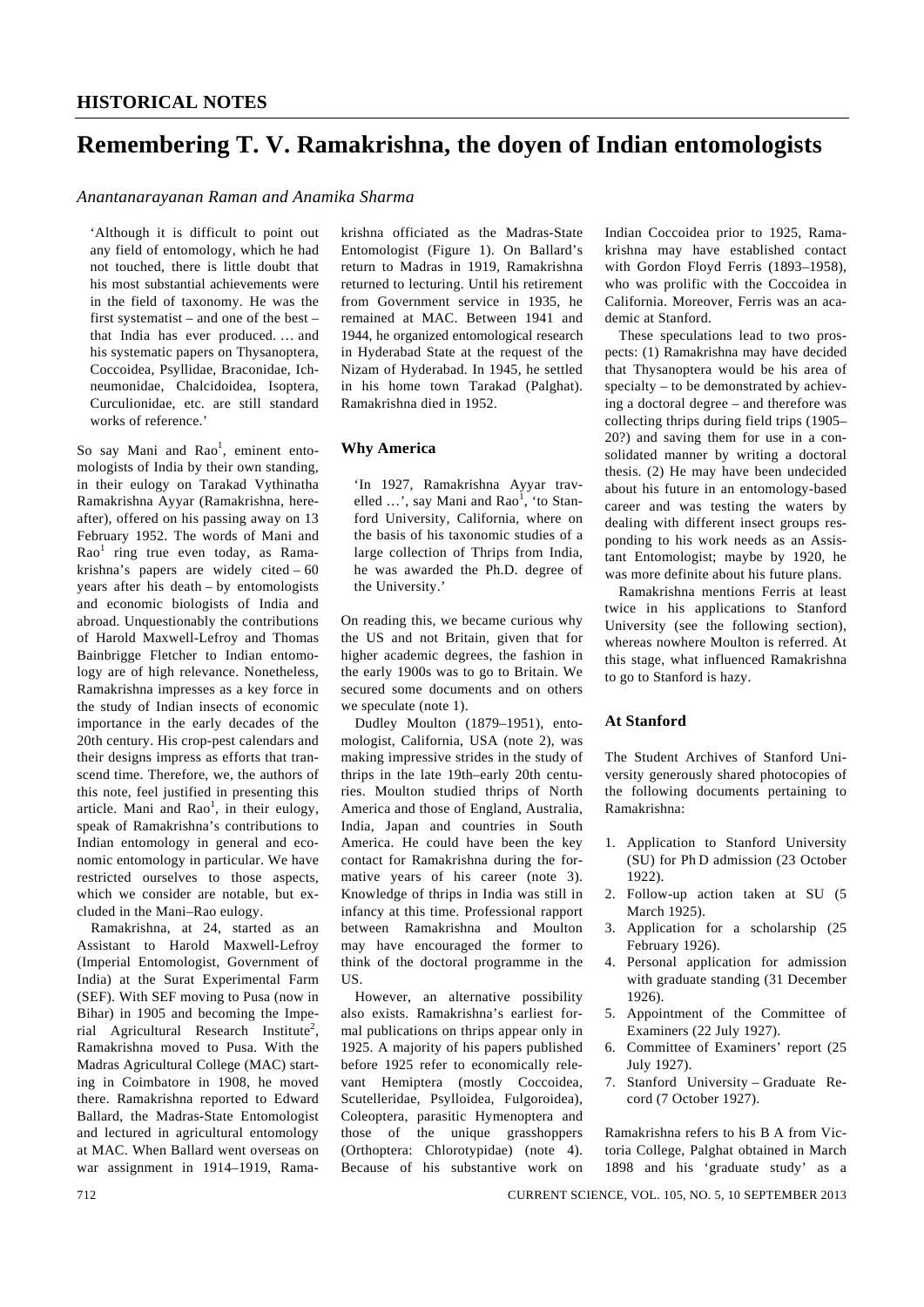# **Remembering T. V. Ramakrishna, the doyen of Indian entomologists**

#### *Anantanarayanan Raman and Anamika Sharma*

'Although it is difficult to point out any field of entomology, which he had not touched, there is little doubt that his most substantial achievements were in the field of taxonomy. He was the first systematist – and one of the best – that India has ever produced. … and his systematic papers on Thysanoptera, Coccoidea, Psyllidae, Braconidae, Ichneumonidae, Chalcidoidea, Isoptera, Curculionidae, etc. are still standard works of reference<sup>.</sup>

So say Mani and Rao<sup>1</sup>, eminent entomologists of India by their own standing, in their eulogy on Tarakad Vythinatha Ramakrishna Ayyar (Ramakrishna, hereafter), offered on his passing away on 13 February 1952. The words of Mani and Rao<sup>1</sup> ring true even today, as Ramakrishna's papers are widely cited – 60 years after his death – by entomologists and economic biologists of India and abroad. Unquestionably the contributions of Harold Maxwell-Lefroy and Thomas Bainbrigge Fletcher to Indian entomology are of high relevance. Nonetheless, Ramakrishna impresses as a key force in the study of Indian insects of economic importance in the early decades of the 20th century. His crop-pest calendars and their designs impress as efforts that transcend time. Therefore, we, the authors of this note, feel justified in presenting this article. Mani and  $Rao<sup>1</sup>$ , in their eulogy, speak of Ramakrishna's contributions to Indian entomology in general and economic entomology in particular. We have restricted ourselves to those aspects, which we consider are notable, but excluded in the Mani–Rao eulogy.

 Ramakrishna, at 24, started as an Assistant to Harold Maxwell-Lefroy (Imperial Entomologist, Government of India) at the Surat Experimental Farm (SEF). With SEF moving to Pusa (now in Bihar) in 1905 and becoming the Imperial Agricultural Research Institute<sup>2</sup>, Ramakrishna moved to Pusa. With the Madras Agricultural College (MAC) starting in Coimbatore in 1908, he moved there. Ramakrishna reported to Edward Ballard, the Madras-State Entomologist and lectured in agricultural entomology at MAC. When Ballard went overseas on war assignment in 1914–1919, Ramakrishna officiated as the Madras-State Entomologist (Figure 1). On Ballard's return to Madras in 1919, Ramakrishna returned to lecturing. Until his retirement from Government service in 1935, he remained at MAC. Between 1941 and 1944, he organized entomological research in Hyderabad State at the request of the Nizam of Hyderabad. In 1945, he settled in his home town Tarakad (Palghat). Ramakrishna died in 1952.

#### **Why America**

'In 1927, Ramakrishna Ayyar travelled  $\ldots$ ', say Mani and Rao<sup>1</sup>, 'to Stanford University, California, where on the basis of his taxonomic studies of a large collection of Thrips from India, he was awarded the Ph.D. degree of the University.'

On reading this, we became curious why the US and not Britain, given that for higher academic degrees, the fashion in the early 1900s was to go to Britain. We secured some documents and on others we speculate (note 1).

 Dudley Moulton (1879–1951), entomologist, California, USA (note 2), was making impressive strides in the study of thrips in the late 19th–early 20th centuries. Moulton studied thrips of North America and those of England, Australia, India, Japan and countries in South America. He could have been the key contact for Ramakrishna during the formative years of his career (note 3). Knowledge of thrips in India was still in infancy at this time. Professional rapport between Ramakrishna and Moulton may have encouraged the former to think of the doctoral programme in the US.

 However, an alternative possibility also exists. Ramakrishna's earliest formal publications on thrips appear only in 1925. A majority of his papers published before 1925 refer to economically relevant Hemiptera (mostly Coccoidea, Scutelleridae, Psylloidea, Fulgoroidea), Coleoptera, parasitic Hymenoptera and those of the unique grasshoppers (Orthoptera: Chlorotypidae) (note 4). Because of his substantive work on

Indian Coccoidea prior to 1925, Ramakrishna may have established contact with Gordon Floyd Ferris (1893–1958), who was prolific with the Coccoidea in California. Moreover, Ferris was an academic at Stanford.

 These speculations lead to two prospects: (1) Ramakrishna may have decided that Thysanoptera would be his area of specialty – to be demonstrated by achieving a doctoral degree – and therefore was collecting thrips during field trips (1905– 20?) and saving them for use in a consolidated manner by writing a doctoral thesis. (2) He may have been undecided about his future in an entomology-based career and was testing the waters by dealing with different insect groups responding to his work needs as an Assistant Entomologist; maybe by 1920, he was more definite about his future plans.

 Ramakrishna mentions Ferris at least twice in his applications to Stanford University (see the following section), whereas nowhere Moulton is referred. At this stage, what influenced Ramakrishna to go to Stanford is hazy.

## **At Stanford**

The Student Archives of Stanford University generously shared photocopies of the following documents pertaining to Ramakrishna:

- 1. Application to Stanford University (SU) for Ph D admission (23 October 1922).
- 2. Follow-up action taken at SU (5 March 1925).
- 3. Application for a scholarship (25 February 1926).
- 4. Personal application for admission with graduate standing (31 December 1926).
- 5. Appointment of the Committee of Examiners (22 July 1927).
- 6. Committee of Examiners' report (25 July 1927).
- 7. Stanford University Graduate Record (7 October 1927).

Ramakrishna refers to his B A from Victoria College, Palghat obtained in March 1898 and his 'graduate study' as a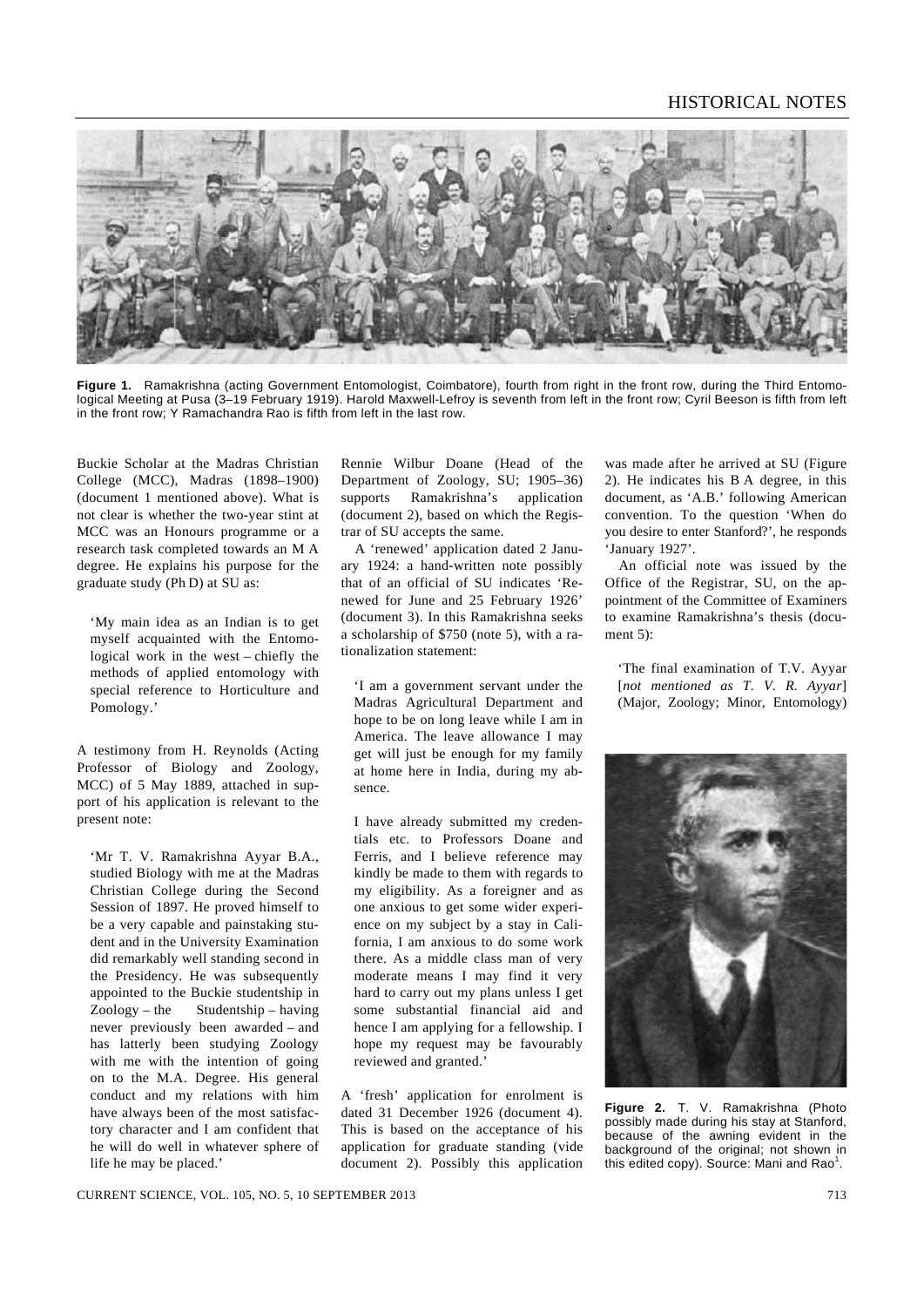## HISTORICAL NOTES



Figure 1. Ramakrishna (acting Government Entomologist, Coimbatore), fourth from right in the front row, during the Third Entomological Meeting at Pusa (3–19 February 1919). Harold Maxwell-Lefroy is seventh from left in the front row; Cyril Beeson is fifth from left in the front row; Y Ramachandra Rao is fifth from left in the last row.

Buckie Scholar at the Madras Christian College (MCC), Madras (1898–1900) (document 1 mentioned above). What is not clear is whether the two-year stint at MCC was an Honours programme or a research task completed towards an M A degree. He explains his purpose for the graduate study (Ph D) at SU as:

'My main idea as an Indian is to get myself acquainted with the Entomological work in the west – chiefly the methods of applied entomology with special reference to Horticulture and Pomology.'

A testimony from H. Reynolds (Acting Professor of Biology and Zoology, MCC) of 5 May 1889, attached in support of his application is relevant to the present note:

'Mr T. V. Ramakrishna Ayyar B.A., studied Biology with me at the Madras Christian College during the Second Session of 1897. He proved himself to be a very capable and painstaking student and in the University Examination did remarkably well standing second in the Presidency. He was subsequently appointed to the Buckie studentship in Zoology – the Studentship – having never previously been awarded – and has latterly been studying Zoology with me with the intention of going on to the M.A. Degree. His general conduct and my relations with him have always been of the most satisfactory character and I am confident that he will do well in whatever sphere of life he may be placed.'

Rennie Wilbur Doane (Head of the Department of Zoology, SU; 1905–36) supports Ramakrishna's application (document 2), based on which the Registrar of SU accepts the same.

 A 'renewed' application dated 2 January 1924: a hand-written note possibly that of an official of SU indicates 'Renewed for June and 25 February 1926' (document 3). In this Ramakrishna seeks a scholarship of \$750 (note 5), with a rationalization statement:

'I am a government servant under the Madras Agricultural Department and hope to be on long leave while I am in America. The leave allowance I may get will just be enough for my family at home here in India, during my absence.

I have already submitted my credentials etc. to Professors Doane and Ferris, and I believe reference may kindly be made to them with regards to my eligibility. As a foreigner and as one anxious to get some wider experience on my subject by a stay in California, I am anxious to do some work there. As a middle class man of very moderate means I may find it very hard to carry out my plans unless I get some substantial financial aid and hence I am applying for a fellowship. I hope my request may be favourably reviewed and granted.'

A 'fresh' application for enrolment is dated 31 December 1926 (document 4). This is based on the acceptance of his application for graduate standing (vide document 2). Possibly this application was made after he arrived at SU (Figure 2). He indicates his B A degree, in this document, as 'A.B.' following American convention. To the question 'When do you desire to enter Stanford?', he responds 'January 1927'.

 An official note was issued by the Office of the Registrar, SU, on the appointment of the Committee of Examiners to examine Ramakrishna's thesis (document 5):

'The final examination of T.V. Ayyar [*not mentioned as T. V. R. Ayyar*] (Major, Zoology; Minor, Entomology)



**Figure 2.** T. V. Ramakrishna (Photo possibly made during his stay at Stanford, because of the awning evident in the background of the original; not shown in this edited copy). Source: Mani and Rao<sup>1</sup>.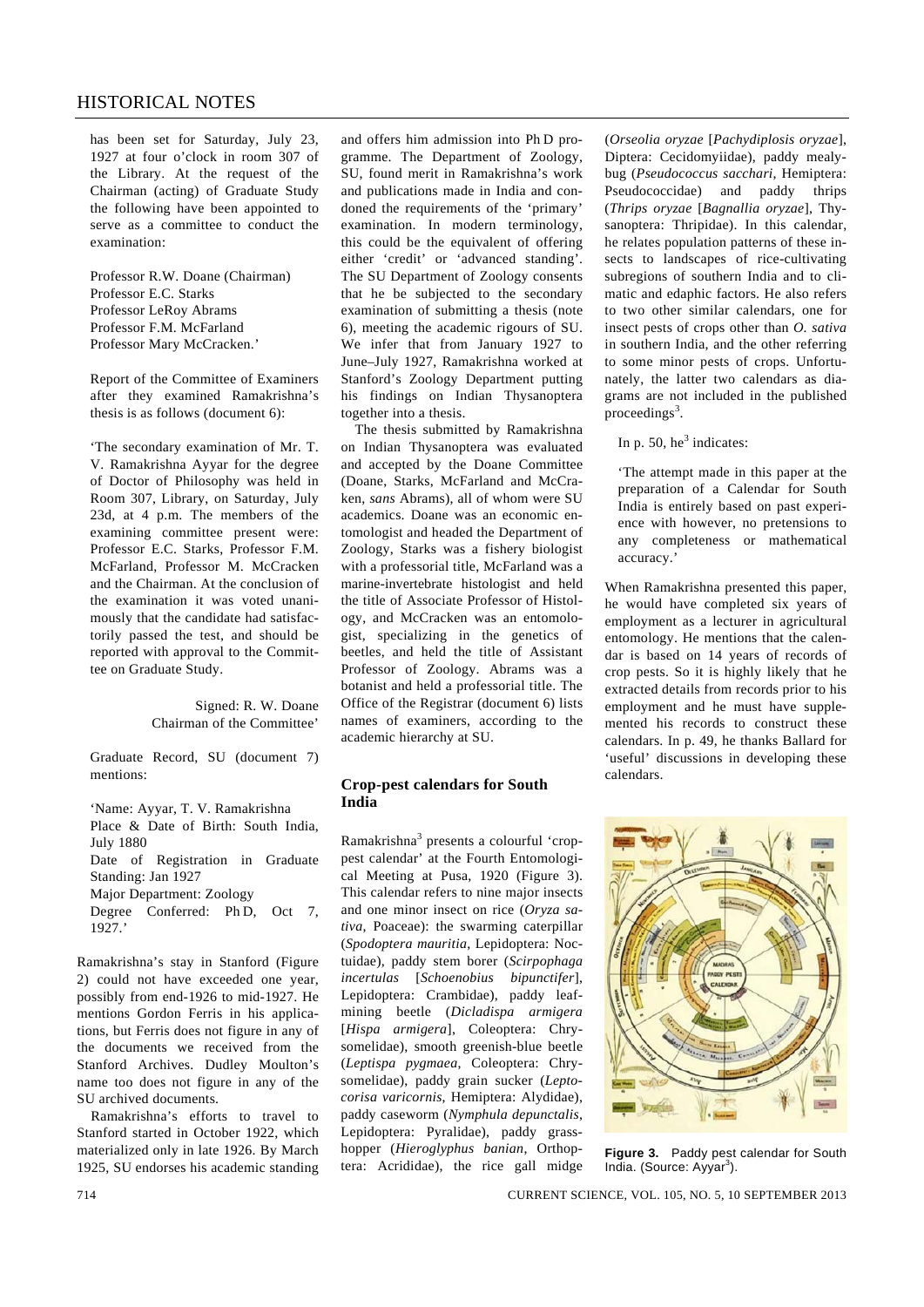## HISTORICAL NOTES

has been set for Saturday, July 23, 1927 at four o'clock in room 307 of the Library. At the request of the Chairman (acting) of Graduate Study the following have been appointed to serve as a committee to conduct the examination:

Professor R.W. Doane (Chairman) Professor E.C. Starks Professor LeRoy Abrams Professor F.M. McFarland Professor Mary McCracken.'

Report of the Committee of Examiners after they examined Ramakrishna's thesis is as follows (document 6):

'The secondary examination of Mr. T. V. Ramakrishna Ayyar for the degree of Doctor of Philosophy was held in Room 307, Library, on Saturday, July 23d, at 4 p.m. The members of the examining committee present were: Professor E.C. Starks, Professor F.M. McFarland, Professor M. McCracken and the Chairman. At the conclusion of the examination it was voted unanimously that the candidate had satisfactorily passed the test, and should be reported with approval to the Committee on Graduate Study.

> Signed: R. W. Doane Chairman of the Committee'

Graduate Record, SU (document 7) mentions:

'Name: Ayyar, T. V. Ramakrishna Place & Date of Birth: South India, July 1880 Date of Registration in Graduate Standing: Jan 1927 Major Department: Zoology Degree Conferred: Ph D, Oct 7, 1927.'

Ramakrishna's stay in Stanford (Figure 2) could not have exceeded one year, possibly from end-1926 to mid-1927. He mentions Gordon Ferris in his applications, but Ferris does not figure in any of the documents we received from the Stanford Archives. Dudley Moulton's name too does not figure in any of the SU archived documents.

 Ramakrishna's efforts to travel to Stanford started in October 1922, which materialized only in late 1926. By March 1925, SU endorses his academic standing

and offers him admission into Ph D programme. The Department of Zoology, SU, found merit in Ramakrishna's work and publications made in India and condoned the requirements of the 'primary' examination. In modern terminology, this could be the equivalent of offering either 'credit' or 'advanced standing'. The SU Department of Zoology consents that he be subjected to the secondary examination of submitting a thesis (note 6), meeting the academic rigours of SU. We infer that from January 1927 to June–July 1927, Ramakrishna worked at Stanford's Zoology Department putting his findings on Indian Thysanoptera together into a thesis.

 The thesis submitted by Ramakrishna on Indian Thysanoptera was evaluated and accepted by the Doane Committee (Doane, Starks, McFarland and McCraken, *sans* Abrams), all of whom were SU academics. Doane was an economic entomologist and headed the Department of Zoology, Starks was a fishery biologist with a professorial title, McFarland was a marine-invertebrate histologist and held the title of Associate Professor of Histology, and McCracken was an entomologist, specializing in the genetics of beetles, and held the title of Assistant Professor of Zoology. Abrams was a botanist and held a professorial title. The Office of the Registrar (document 6) lists names of examiners, according to the academic hierarchy at SU.

### **Crop-pest calendars for South India**

Ramakrishna<sup>3</sup> presents a colourful 'croppest calendar' at the Fourth Entomological Meeting at Pusa, 1920 (Figure 3). This calendar refers to nine major insects and one minor insect on rice (*Oryza sativa*, Poaceae): the swarming caterpillar (*Spodoptera mauritia*, Lepidoptera: Noctuidae), paddy stem borer (*Scirpophaga incertulas* [*Schoenobius bipunctifer*], Lepidoptera: Crambidae), paddy leafmining beetle (*Dicladispa armigera*  [*Hispa armigera*], Coleoptera: Chrysomelidae), smooth greenish-blue beetle (*Leptispa pygmaea*, Coleoptera: Chrysomelidae), paddy grain sucker (*Leptocorisa varicornis*, Hemiptera: Alydidae), paddy caseworm (*Nymphula depunctalis*, Lepidoptera: Pyralidae), paddy grasshopper (*Hieroglyphus banian*, Orthoptera: Acrididae), the rice gall midge

(*Orseolia oryzae* [*Pachydiplosis oryzae*], Diptera: Cecidomyiidae), paddy mealybug (*Pseudococcus sacchari*, Hemiptera: Pseudococcidae) and paddy thrips (*Thrips oryzae* [*Bagnallia oryzae*], Thysanoptera: Thripidae). In this calendar, he relates population patterns of these insects to landscapes of rice-cultivating subregions of southern India and to climatic and edaphic factors. He also refers to two other similar calendars, one for insect pests of crops other than *O. sativa* in southern India, and the other referring to some minor pests of crops. Unfortunately, the latter two calendars as diagrams are not included in the published proceedings<sup>3</sup>.

In p. 50,  $he^3$  indicates:

'The attempt made in this paper at the preparation of a Calendar for South India is entirely based on past experience with however, no pretensions to any completeness or mathematical accuracy.'

When Ramakrishna presented this paper, he would have completed six years of employment as a lecturer in agricultural entomology. He mentions that the calendar is based on 14 years of records of crop pests. So it is highly likely that he extracted details from records prior to his employment and he must have supplemented his records to construct these calendars. In p. 49, he thanks Ballard for 'useful' discussions in developing these calendars.



**Figure 3.** Paddy pest calendar for South India. (Source: Ayyar<sup>3</sup>).

714 CURRENT SCIENCE, VOL. 105, NO. 5, 10 SEPTEMBER 2013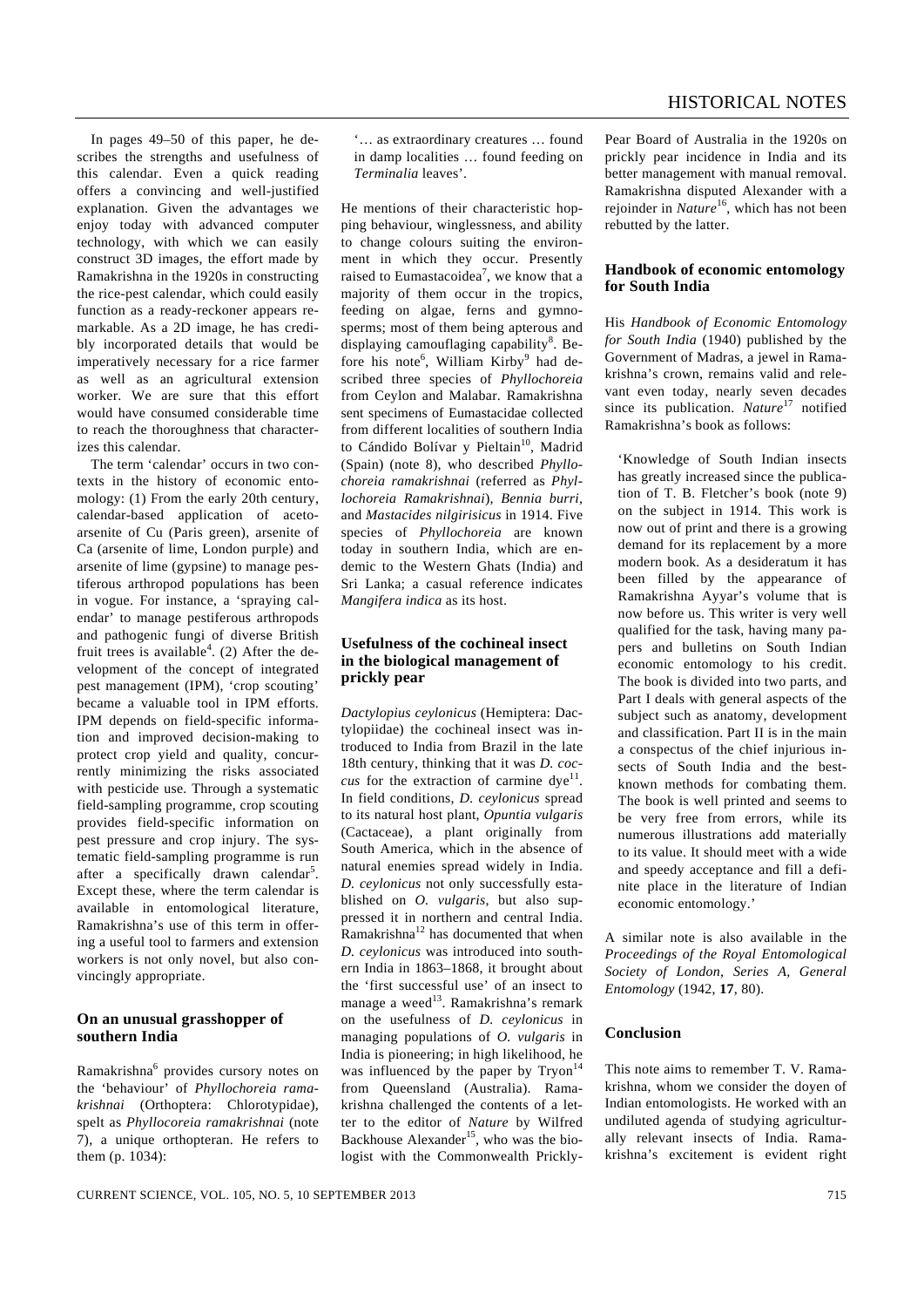In pages 49–50 of this paper, he describes the strengths and usefulness of this calendar. Even a quick reading offers a convincing and well-justified explanation. Given the advantages we enjoy today with advanced computer technology, with which we can easily construct 3D images, the effort made by Ramakrishna in the 1920s in constructing the rice-pest calendar, which could easily function as a ready-reckoner appears remarkable. As a 2D image, he has credibly incorporated details that would be imperatively necessary for a rice farmer as well as an agricultural extension worker. We are sure that this effort would have consumed considerable time to reach the thoroughness that characterizes this calendar.

 The term 'calendar' occurs in two contexts in the history of economic entomology: (1) From the early 20th century, calendar-based application of acetoarsenite of Cu (Paris green), arsenite of Ca (arsenite of lime, London purple) and arsenite of lime (gypsine) to manage pestiferous arthropod populations has been in vogue. For instance, a 'spraying calendar' to manage pestiferous arthropods and pathogenic fungi of diverse British fruit trees is available<sup>4</sup>. (2) After the development of the concept of integrated pest management (IPM), 'crop scouting' became a valuable tool in IPM efforts. IPM depends on field-specific information and improved decision-making to protect crop yield and quality, concurrently minimizing the risks associated with pesticide use. Through a systematic field-sampling programme, crop scouting provides field-specific information on pest pressure and crop injury. The systematic field-sampling programme is run after a specifically drawn calendar<sup>5</sup>. Except these, where the term calendar is available in entomological literature, Ramakrishna's use of this term in offering a useful tool to farmers and extension workers is not only novel, but also convincingly appropriate.

## **On an unusual grasshopper of southern India**

Ramakrishna<sup>6</sup> provides cursory notes on the 'behaviour' of *Phyllochoreia ramakrishnai* (Orthoptera: Chlorotypidae), spelt as *Phyllocoreia ramakrishnai* (note 7), a unique orthopteran. He refers to them (p. 1034):

'… as extraordinary creatures … found in damp localities … found feeding on *Terminalia* leaves'.

He mentions of their characteristic hopping behaviour, winglessness, and ability to change colours suiting the environment in which they occur. Presently raised to Eumastacoidea<sup>7</sup>, we know that a majority of them occur in the tropics, feeding on algae, ferns and gymnosperms; most of them being apterous and displaying camouflaging capability<sup>8</sup>. Before his note<sup>6</sup>, William Kirby<sup>9</sup> had described three species of *Phyllochoreia* from Ceylon and Malabar. Ramakrishna sent specimens of Eumastacidae collected from different localities of southern India to Cándido Bolívar y Pieltain<sup>10</sup>, Madrid (Spain) (note 8), who described *Phyllochoreia ramakrishnai* (referred as *Phyllochoreia Ramakrishnai*), *Bennia burri*, and *Mastacides nilgirisicus* in 1914. Five species of *Phyllochoreia* are known today in southern India, which are endemic to the Western Ghats (India) and Sri Lanka; a casual reference indicates *Mangifera indica* as its host.

## **Usefulness of the cochineal insect in the biological management of prickly pear**

*Dactylopius ceylonicus* (Hemiptera: Dactylopiidae) the cochineal insect was introduced to India from Brazil in the late 18th century, thinking that it was *D. coccus* for the extraction of carmine dye<sup>11</sup>. In field conditions, *D. ceylonicus* spread to its natural host plant, *Opuntia vulgaris*  (Cactaceae), a plant originally from South America, which in the absence of natural enemies spread widely in India. *D. ceylonicus* not only successfully established on *O. vulgaris*, but also suppressed it in northern and central India. Ramakrishna<sup>12</sup> has documented that when *D. ceylonicus* was introduced into southern India in 1863–1868, it brought about the 'first successful use' of an insect to manage a weed<sup>13</sup>. Ramakrishna's remark on the usefulness of *D. ceylonicus* in managing populations of *O. vulgaris* in India is pioneering; in high likelihood, he was influenced by the paper by  $Tryon<sup>14</sup>$ from Queensland (Australia). Ramakrishna challenged the contents of a letter to the editor of *Nature* by Wilfred Backhouse Alexander<sup>15</sup>, who was the biologist with the Commonwealth PricklyPear Board of Australia in the 1920s on prickly pear incidence in India and its better management with manual removal. Ramakrishna disputed Alexander with a rejoinder in *Nature*<sup>16</sup>, which has not been rebutted by the latter.

## **Handbook of economic entomology for South India**

His *Handbook of Economic Entomology for South India* (1940) published by the Government of Madras, a jewel in Ramakrishna's crown, remains valid and relevant even today, nearly seven decades since its publication. *Nature*<sup>17</sup> notified Ramakrishna's book as follows:

'Knowledge of South Indian insects has greatly increased since the publication of T. B. Fletcher's book (note 9) on the subject in 1914. This work is now out of print and there is a growing demand for its replacement by a more modern book. As a desideratum it has been filled by the appearance of Ramakrishna Ayyar's volume that is now before us. This writer is very well qualified for the task, having many papers and bulletins on South Indian economic entomology to his credit. The book is divided into two parts, and Part I deals with general aspects of the subject such as anatomy, development and classification. Part II is in the main a conspectus of the chief injurious insects of South India and the bestknown methods for combating them. The book is well printed and seems to be very free from errors, while its numerous illustrations add materially to its value. It should meet with a wide and speedy acceptance and fill a definite place in the literature of Indian economic entomology.'

A similar note is also available in the *Proceedings of the Royal Entomological Society of London, Series A, General Entomology* (1942, **17**, 80).

## **Conclusion**

This note aims to remember T. V. Ramakrishna, whom we consider the doyen of Indian entomologists. He worked with an undiluted agenda of studying agriculturally relevant insects of India. Ramakrishna's excitement is evident right